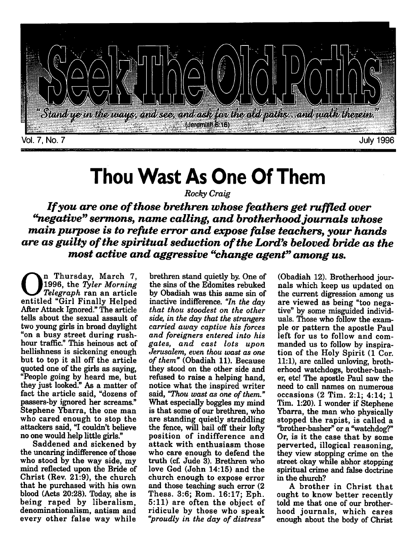

## *Thou Wast As One Of Them*

**Rocky Craig**

*Ifyou are one ofthose brethren whose feathers get ruffled over "negative" sermons, name calling, and brotherhoodjournals whose main purpose is to refute error and expose false teachers, your hands are as guilty ofthe spiritual seduction ofthe Lord's beloved bride as the most active and aggressive "change agent" among us.*

n Thursday, March 7, 1996, the **Tyler Morning Telegraph** ran an article entitled "Girl Finally Helped After Attack Ignored." The article tells about the sexual assault of two young girls in broad daylight "on a busy street during rushhour traffic." This heinous act of hellishness is sickening enough but to top it all off the article quoted one of the girls as saying, "People going by heard me, but they just looked." As a matter of fact the article said, "dozens of passers-by ignored her screams." Stephene Ybarra, the one man who cared enough to stop the attackers said, "I couldn't believe no one would help little girls."

Saddened and sickened by the uncaring indifference of those who stood by the way side, my mind reflected upon the Bride of Christ (Rev. 21:9), the church that he purchased with his own blood (Acts 20:28). Today, she is being raped by liberalism, denominationalism, antism and every other false way while

brethren stand quietly by. One of the sins of the Edomites rebuked by Obadiah was this same sin of inactive indifference. **"In the day that thou stoodest on the other side, in the day that the strangers carried away captive his forces and foreigners entered into his gates, and cast lots upon Jerusalem, even thou wast as one of them"** (Obadiah 11). Because they stood on the other side and refused to raise a helping hand, notice what the inspired writer said, "Thou wast as one of them." What especially boggles my mind is that some of our brethren, who are standing quietly straddling the fence, will bail off their lofty position of indifference and attack with enthusiasm those who care enough to defend the truth (cf. Jude 3). Brethren who love God (John 14:15) and the church enough to expose error and those teaching such error (2 Thess. 3:6; Rom. 16:17; Eph. 5:11) are often the object of ridicule by those who speak **"proudly in the day of distress"**

(Obadiah 12). Brotherhood jour nals which keep us updated on the current digression among us are viewed as being "too nega tive" by some misguided individ uals. Those who follow the exam ple or pattern the apostle Paul left for us to follow and com manded us to follow by inspira tion of the Holy Spirit (1 Cor. 11:1), are called unloving, broth erhood watchdogs, brother-bash er, etc! The apostle Paul saw the need to call names on numerous occasions (2 Tim. 2:1; 4:14; 1 Tim. 1:20). I wonder if Stephene Ybarra, the man who physically stopped the rapist, is called a "brother-basher" or a "watchdog?" Or, is it the case that by some perverted, illogical reasoning, they view stopping crime on the street okay while abhor stopping spiritual crime and false doctrine in the church?

<sup>A</sup> brother in Christ that ought to know better recently told me that one of our brother hood journals, which cares enough about the body of Christ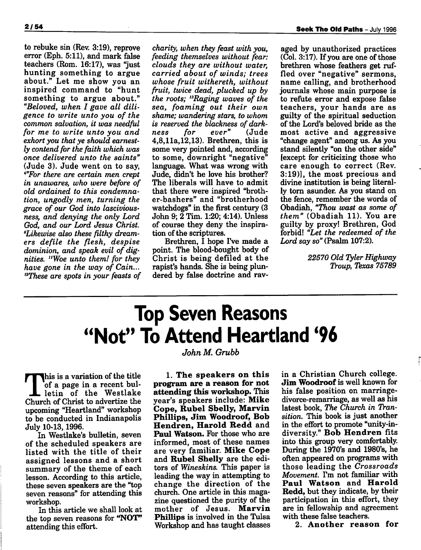to rebuke sin (Rev. 3:19), reprove error (Eph. 5:11), and mark false teachers (Rom. 16:17), was "just hunting something to argue about." Let me show you an inspired command to "hunt something to argue about." **"Beloved, when I gave all dili gence to write unto you of the common salvation, it was needful for me to write unto you and exhort you that ye should earnest ly contend for the faith which was once delivered unto the saints"** (Jude 3). Jude went on to say, **\*"For there are certain men crept in unawares, who were before of old ordained to this condemna tion, ungodly men, turning the grace of our God into lasciviousness, and denying the only Lord God, and our Lord Jesus Christ. "Likewise also these filthy dream ers defile the flesh, despise dominion, and speak evil of dig nities. "Woe unto them! for they have gone in the way of Cain... '"These are spots in your feasts of** charity, when they feast with you, **feeding themselves without fear: clouds they are without water, carried about of winds; trees whose fruit withereth, without fruit, twice dead, plucked up by the roots; 13Raging waves of the sea, foaming out their own shame; wandering stars, to whom is reserved the blackness of dark ness for ever"** (Jude 4,8,lla,12,13). Brethren, this is some very pointed and, according to some, downright "negative" language. What was wrong with Jude, didn't he love his brother? The liberals will have to admit that there were inspired "broth er-bashers" and "brotherhood watchdogs" in the first century (3 John 9; 2 Tim. 1:20; 4:14). Unless of course they deny the inspira tion of the scriptures.

Brethren, I hope I've made a point. The blood-bought body of Christ is being defiled at the rapist's hands. She is being plun dered by false doctrine and rav

aged by unauthorized practices  $(Col. 3:17)$ . If you are one of those brethren whose feathers get ruf fled over "negative" sermons, name calling, and brotherhood journals whose main purpose is to refute error and expose false teachers, your hands are as guilty of the spiritual seduction of the Lord's beloved bride as the most active and aggressive "change agent" among us. As you stand silently "on the other side" (except for criticizing those who care enough to correct (Rev. 3:19)], the most precious and divine institution is being literal ly torn asunder. As you stand on the fence, remember the words of Obadiah, **"Thou wast as some of them"** (Obadiah 11). You are guilty by proxy! Brethren, God forbid! **"Let the redeemed of the Lord say so"**(Psalm 107:2).

> **22570 Old TylerHighway Troup, Texas 75789**

## *Top Seven Reasons "Not" To Attend Heartland '96*

**John M. Grubb**

This is a variation of the title of a page in a recent bul letin of the Westlake Church of Christ to advertize the upcoming "Heartland" workshop to be conducted in Indianapolis July 10-13,1996.

In Westlake's bulletin, seven of the scheduled speakers are listed with the title of their assigned lessons and a short summary of the theme of each lesson. According to this article, these seven speakers are the "top seven reasons" for attending this workshop.

In this article we shall look at the top seven reasons for *"NOT"* attending this effort.

1. *The speakers on this program are a reason for not attending this workshop.* This year's speakers include: *Mike Cope, Rubel Sbelly, Marvin Phillips, Jim Woodroof, Bob Hendren, Harold Redd* and *Paul Watson.* For those who are informed, most of these names are very familiar. *Mike Cope* and *Rubel Shelly* are the edi tors of **Wineskins.** This paper is leading the way in attempting to change the direction of the church. One article in this maga zine questioned the purity of the mother of Jesus. *Marvin Phillips* is involved in the Tulsa Workshop and has taught classes in a Christian Church college. *Jim Woodroof* is well known for his false position on marriagedivorce-remarriage, as well as his latest book, **The Church in Tran sition.** This book is just another in the effort to promote "unity-indiversity." *Bob Hendren* fits into this group very comfortably. During the 1970's and 1980's, he often appeared on programs with those leading the **Crossroads Movement.** I'm not familiar with *Paul Watson* and *Harold Redd,* but they indicate, by their participation in this effort, they are in fellowship and agreement with these false teachers.

2. *Another reason for*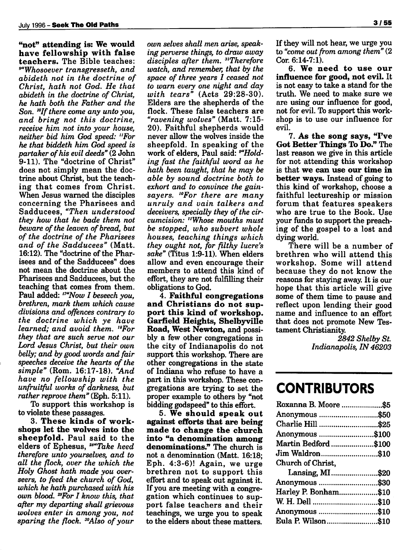*"not" attending is: We would have fellowship with false teachers.* The Bible teaches: **""Whosoever transgresseth, and abideth not in the doctrine of Christ, hath not God. He that abideth in the doctrine of Christ, he hath both the Father and the Son. '"Ifthere come any unto you, and bring not this doctrine, receive him not into your house, neither bid him God speed: "For he that biddeth him God speed is partaker ofhis evil deeds"**(2 John 9-11). The "doctrine of Christ" does not simply mean the doc trine about Christ, but the teach ing that comes from Christ. When Jesus warned the disciples concerning the Pharisees and Sadducees, **"Then understood they how that he bade them not beware** of the leaven of bread, but **of the doctrine of the Pharisees and of the Sadducees"** (Matt. 16:12). The "doctrine of the Pharisees and of the Sadducees" does not mean the doctrine about the Pharisees and Sadducees, but the teaching that comes from them. Paul added: **""Now I beseech you, brethren, mark them which cause divisions and offences contrary to the doctrine which ye have learned; and avoid them. '"For they that are such serve not our Lord Jesus Christ, but their own belly;and bygood words and fair speeches deceive the hearts of the simple"** (Rom. 16:17-18). **"And have no fellowship with the unfruitful works of darkness, but** rather reprove them" (Eph. 5:11).

To support this workshop is to violate these passages.

3. *These kinds of work shops let the wolves into the sheepfold.* Paul said to the elders of Ephesus, **^"Take heed therefore unto yourselves, and to all the flock, over the which the Holy Ghost hath made you over seers, to feed the church of God, which he hath purchased with his own blood. ""For I know this, that after my departing shall grievous wolves enter in among you, not sparing** the flock. <sup>30</sup>Also of your

**own selves shall men arise, speak ing perverse things, to draw away disciples after them. "Therefore watch, and remember, that by the space of three years I ceased not to warn every one night and day with tears"** (Acts 29:28-30). Elders are the shepherds of the flock. These false teachers are **"ravening wolves"** (Matt. 7:15- 20). Faithful shepherds would never allow the wolves inside the sheepfold. In speaking of the work of elders, Paul said: <sup>9"</sup>Hold**ing fast the faithful word as he hath been taught, that he may be able by sound doctrine both to exhort and to convince the gainsayers. '"For there are many unruly and vain talkers and** deceivers, specially they of the cir**cumcision: "Whose mouths must be stopped, who subvert whole houses, teaching things which they ought not, for filthy lucre's sake"** (Titus 1:9-11). When elders allow and even encourage their members to attend this kind of effort, they are not fulfilling their obligations to God.

4. *Faithful congregations and Christians do not sup port this kind of workshop. Garfield Heights, Shelbyville Road, West Newton,* and possi bly a few other congregations in the city of Indianapolis do not support this workshop. There are other congregations in the state of Indiana who refuse to have a part in this workshop. These con gregations are trying to set the proper example to others by "not bidding godspeed" to this effort.

5. *We should speak out against efforts that are being made to change the church into "a denomination among denominations."* The church is not a denomination (Matt. 16:18; Eph. 4:3-6)! Again, we urge brethren not to support this effort and to speak out against it. If you are meeting with a congre gation which continues to sup port false teachers and their teachings, we urge you to speak to the elders about these matters.

If they will not hear, we urge you to **"come out from among them"**(2 Cor. 6:14-7:1).

6. *We need to use our influence for good, not evil.* It is not easy to take a stand for the truth. We need to make sure we are using our influence for good, not for evil. To support this work shop is to use our influence for evil.

7. *As the song says, "I've Got Better Things To Do."* The last reason we give in this article for not attending this workshop is that *we can use our time in better ways.* Instead of going to this kind of workshop, choose a faithful lectureship or mission forum that features speakers who are true to the Book. Use your funds to support the preach ing of the gospel to a lost and dying world.

There will be a number of brethren who will attend this workshop. Some will attend because they do not know the reasons for staying away. It is our hope that this article will give some of them time to pause and reflect upon lending their good name and influence to an effort that does not promote New Tes tament Christianity.

> **2842 Shelby St. Indianapolis, IN 46203**

### *CONTRIBUTORS*

| Roxanna B. Moore \$5 |  |
|----------------------|--|
| Anonymous \$50       |  |
| Charlie Hill \$25    |  |
| Anonymous \$100      |  |
| Martin Bedford\$100  |  |
| Jim Waldron\$10      |  |
| Church of Christ,    |  |
| Lansing, MI\$20      |  |
| Anonymous \$30       |  |
| Harley P. Bonham\$10 |  |
|                      |  |
| Anonymous \$10       |  |
| Eula P. Wilson\$10   |  |
|                      |  |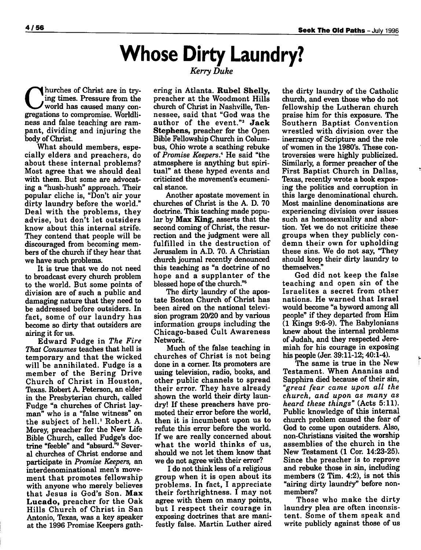### *Whose Dirty Laundry?* **Kerry Duke**

Indurches of Christ are in trying times. Pressure from the world has caused many con gregations to compromise. Worldliness and false teaching are ram pant, dividing and injuring the body of Christ.

What should members, especially elders and preachers, do about these internal problems? Most agree that we should deal with them. But some are advocat ing a "hush-hush" approach. Their popular cliche is, "Don't air your dirty laundry before the world." Deal with the problems, they advise, but don't let outsiders know about this internal strife. They contend that people will be discouraged from becoming mem bers of the church if they hear that we have such problems.

It is true that we do not need to broadcast every church problem to the world. But some points of division are of such a public and damaging nature that they need to be addressed before outsiders. In fact, some of our laundry has become so dirty that outsiders are airing it for us.

Edward Fudge in **The Fire That Consumes** teaches that hell is temporary and that the wicked will be annihilated. Fudge is a member of the Bering Drive Church of Christ in Houston, Texas. Robert A. Peterson, an elder in the Presbyterian church, called Fudge "a churches of Christ lay man" who is a "false witness" on the subject of hell.<sup>1</sup> Robert A. Morey, preacher for the New Life Bible Church, called Fudge's doc trine "feeble" and "absurd."2 Sever al churches of Christ endorse and participate in **Promise Keepers,** an interdenominational men's move ment that promotes fellowship with anyone who merely believes that Jesus is God's Son. *Max Lucado,* preacher for the Oak Hills Church of Christ in San Antonio, Texas, was a key speaker at the 1996 Promise Keepers gathering in Atlanta. *Rubel Shelly,* preacher at the Woodmont Hills church of Christ in Nashville, Ten nessee, said that "God was the author of the event."3 *Jack Stephens,* preacher for the Open Bible Fellowship Church in Colum bus, Ohio wrote a scathing rebuke of **Promise Keepers.4** He said "the atmosphere is anything but spiri tual" at these hyped events and criticized the movement's ecumeni cal stance.

Another apostate movement in churches of Christ is the A. D. 70 doctrine. This teaching made popu lar by *Max King,* asserts that the second coming of Christ, the resur rection and the judgment were all fulfilled in the destruction of Jerusalem in A.D. 70. A Christian church journal recently denounced this teaching as "a doctrine of no hope and a supplanter of the blessed hope of the church."

The dirty laundry of the apos tate Boston Church of Christ has been aired on the national televi sion program 20/20 and by various information groups including the Chicago-based Cult Awareness Network.

Much of the false teaching in churches of Christ is not being done in a corner. Its promoters are using television, radio, books, and other public channels to spread their error. They have already shown the world their dirty laun dry! If these preachers have pro moted their error before the world, then it is incumbent upon us to refute this error before the world. If we are really concerned about what the world thinks of us, should we not let them know that we do not agree with their error?

I do not think less of a religious group when it is open about its problems. In fact, I appreciate their forthrightness. I may not agree with them on many points, but I respect their courage in exposing doctrines that are mani festly false. Martin Luther aired the dirty laundry of the Catholic church, and even those who do not fellowship the Lutheran church praise him for this exposure. The Southern Baptist Convention wrestled with division over the inerrancy of Scripture and the role of women in the 1980's. These con troversies were highly publicized. Similarly, a former preacher of the First Baptist Church in Dallas, Texas, recently wrote a book expos ing the politics and corruption in this large denominational church. Most mainline denominations are experiencing division over issues such as homosexuality and abor tion. Yet we do not criticize these groups when they publicly con demn their own for upholding these sins. We do not say, "They should keep their dirty laundry to themselves."

God did not keep the false teaching and open sin of the Israelites a secret from other nations. He warned that Israel would become "a byword among all people" if they departed from Him (1 Kings 9:6-9). The Babylonians knew about the internal problems of Judah, and they respected Jere miah for his courage in exposing his people (Jer. 39:11-12; 40:1-4).

The same is true in the New Testament. When Ananias and Sapphira died because of their sin, **"great fear came upon all the church, and upon as many as heard these things"** (Acts 5:11). Public knowledge of this internal church problem caused the fear of God to come upon outsiders. Also, non-Christians visited the worship assemblies of the church in the New Testament (1 Cor. 14:23-25). Since the preacher is to reprove and rebuke those in sin, including members (2 Tim. 4:2), is not this "airing dirty laundry" before nonmembers?

Those who make the dirty laundry plea are often inconsis tent. Some of them speak and write publicly against those of us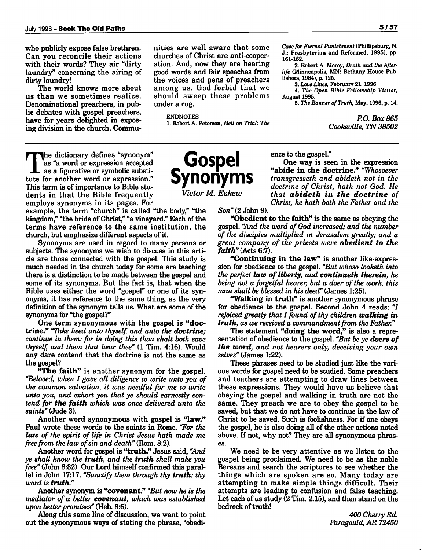who publicly expose false brethren. Can you reconcile their actions with their words? They air "dirty laundry" concerning the airing of dirty laundry!

The world knows more about us than we sometimes realize. Denominational preachers, in pub lic debates with gospel preachers, have for years delighted in expos ing division in the church. Commu nities are well aware that some churches of Christ are anti-cooper ation. And, now they are hearing good words and fair speeches from the voices and pens of preachers among us. God forbid that we should sweep these problems under a rug.

#### *ENDNOTES 1. Robert A. Peterson, Hell on Trial: The*

Jhe dictionary defines "synonym" as "a word or expression accepted as a figurative or symbolic substi tute for another word or expression." This term is of importance to Bible stu dents in that the Bible frequently employs synonyms in its pages. For The dictionary defines "synonym"<br>as "a word or expression accepted<br>as a figurative or symbolic substi-<br>
Symonym

example, the term "church" is called "the body," "the kingdom," "the bride of Christ," "a vineyard." Each of the terms have reference to the same institution, the church, but emphasize different aspects of it.

Synonyms are used in regard to many persons or subjects. The synonyms we wish to discuss in this arti cle are those connected with the gospel. This study is much needed in the church today for some are teaching there is a distinction to be made between the gospel and some of its synonyms. But the fact is, that when the Bible uses either the word "gospel" or one of its syn onyms, it has reference to the same thing, as the very definition of the synonym tells us. What are some of the synonyms for "the gospel?"

One term synonymous with the gospel is *"doc trine."* **"Take heed unto thyself, and unto the** *doctrine;* **continue in them: for in doing this thou shalt both save thyself, and them that hear thee"** (1 Tim. 4:16). Would any dare contend that the doctrine is not the same as the gospel?

*"The faith"* is another synonym for the gospel. **"Beloved, when I gave all diligence to write unto you of the common salvation, it was needful for me to write unto you, and exhort you that ye should earnestly con tend for** *the faith* **which was once delivered unto the saints"** (Jude 3).

Another word synonymous with gospel is *"law."* Paul wrote these words to the saints in Rome. **"For the** *law* **of the spirit of life in Christ Jesus hath made me free from the law ofsin and death"** (Rom. 8:2).

Another word for gospel is *"truth."* Jesus said, **"And ye shall know the** *truth,* **and the** *truth* **shall make you free"** (John 8:32). Our Lord himself confirmed this paral lel in John 17:17. **"Sanctify them through thy** *truth:* **thy word is** *truth."*

Another synonym is *"covenant."* **"But now he is the mediator of a better** *covenant,* **which was established** upon better promises" (Heb. 8:6).

Along this same line of discussion, we want to point out the synonymous ways of stating the phrase, "obedience to the gospel." One way is seen in the expression

*161-162.*

*August 1995.*

*lishers, 1984), p. 125.*

*"abide in the doctrine."* **"Whosoever transgresseth and abideth not in the doctrine of Christ, hath not God. He that** *abideth in the doctrine* **of Christ, he hath both the Father and the**

*J.: Presbyterian and Reformed, 1995), pp.*

*3. Loue Lines, February 21,1996. 4. The Open Bible Fellowship Visitor,*

*2. Robert A. Morey, Death and the After life (Minneapolis, MN: Bethany House Pub*

*5. The Banner ofTruth, May, 1996, p. 14.*

**Son"** (2 John 9).

*"Obedient to the faith"* is the same as obeying the gospel. **"And the word ofGod increased; and the number of the disciples multiplied in Jerusalem greatly; and a great company of the priests were** *obedient to the faith"* (Acts 6:7).

*"Continuing in the law"* is another like-expres sion for obedience to the gospel. **"But whoso looketh into the perfect** *law ofliberty,* **and** *continueth therein,* **he being not a forgetful hearer, but a doer of the work, this man shall be blessed in his deed"** (James 1:25).

*"Walking in truth"* is another synonymous phrase for obedience to the gospel. Second John 4 reads: **"I** rejoiced greatly that I found of thy children **walking** in **truth, as we received a commandment from the Father."** 

The statement *"doing the word,"* is also a repre sentation of obedience to the gospel. "But be ye **doers of** *the word,* **and not hearers only, deceiving your own selves"** (James 1:22).

These phrases need to be studied just like the vari ous words for gospel need to be studied. Some preachers and teachers are attempting to draw lines between these expressions. They would have us believe that obeying the gospel and walking in truth are not the same. They preach we are to obey the gospel to be saved, but that we do not have to continue in the law of Christ to be saved. Such is foolishness. For if one obeys the gospel, he is also doing all of the other actions noted above. If not, why not? They are all synonymous phras es.

We need to be very attentive as we listen to the gospel being proclaimed. We need to be as the noble Bereans and search the scriptures to see whether the things which are spoken are so. Many today are attempting to make simple things difficult. Their attempts are leading to confusion and false teaching. Let each of us study  $(2 \text{ Tim. } 2:15)$ , and then stand on the bedrock of truth!

> **400 CherryRd. Paragould, AR 72450**

*Case for Eternal Punishment (Phillipsburg, N.*

**P.O. Box 865**

**Cookeville, TN38502**

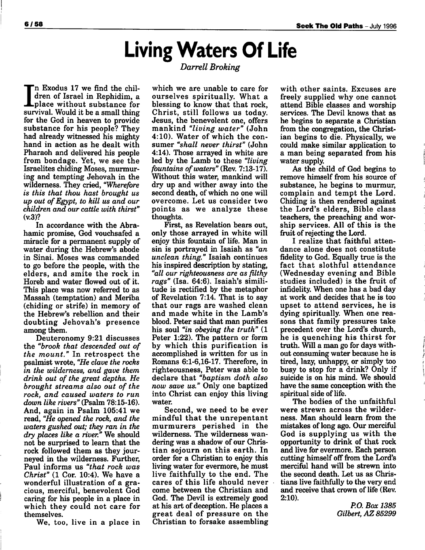# *Living Waters Of Life*

#### **Darrell Broking**

"n Exodus 17 we find the children of Israel in Rephidim, a **L**place without substance for survival. Would it be a small thing for the God in heaven to provide substance for his people? They had already witnessed his mighty hand in action as he dealt with Pharaoh and delivered his people from bondage. Yet, we see the Israelites chiding Moses, murmur ing and tempting Jehovah in the wilderness. They cried, **"Wherefore is this that thou hast brought us up out ofEgypt, to kill us and our children and our cattle with thirst"** (v.3)?

In accordance with the Abrahamic promise, God vouchsafed a miracle for a permanent supply of water during the Hebrew's abode in Sinai. Moses was commanded to go before the people, with the elders, and smite the rock in Horeb and water flowed out of it. This place was now referred to as Massah (temptation) and Meriba (chiding or strife) in memory of the Hebrew's rebellion and their doubting Jehovah's presence among them.

Deuteronomy 9:21 discusses the **"brook that descended out of the mount."** In retrospect the psalmist wrote, **"He clave the rocks in the wilderness, and gave them drink out of the great depths. He brought streams also out of the rock, and caused waters to run down like rivers"** (Psalm 78:15-16). And, again in Psalm 105:41 we read, **"He opened the rock, and the waters gushed out; they ran in the dry places like a river."** We should not be surprised to learn that the rock followed them as they jour neyed in the wilderness. Further, Paul informs us **"that rock was Christ"** (1 Cor. 10:4). We have a wonderful illustration of a gra cious, merciful, benevolent God caring for his people in a place in which they could not care for themselves.

We, too, live in a place in

which we are unable to care for ourselves spiritually. What a blessing to know that that rock, Christ, still follows us today. Jesus, the benevolent one, offers mankind **"living water"** (John 4:10). Water of which the con sumer **"shall never thirst"** (John 4:14). Those arrayed in white are led by the Lamb to these **"living fountains ofwaters"** (Rev. 7:13-17). Without this water, mankind will dry up and wither away into the second death, of which no one will overcome. Let us consider two points as we analyze these thoughts.

First, as Revelation bears out, only those arrayed in white will enjoy this fountain of life. Man in sin is portrayed in Isaiah as **"an unclean thing."** Isaiah continues his inspired description by stating, **"all our righteousness are as filthy rags"** (Isa. 64:6). Isaiah's simili tude is rectified by the metaphor of Revelation 7:14. That is to say that our rags are washed clean and made white in the Lamb's blood. Peter said that man purifies his soul **"in obeying the truth"** (1 Peter 1:22). The pattern or form by which this purification is accomplished is written for us in Romans 6:1-6,16-17. Therefore, in righteousness, Peter was able to declare that **"baptism doth also now save us."** Only one baptized into Christ can enjoy this living water.

Second, we need to be ever mindful that the unrepentant murmurers perished in the wilderness. The wilderness wan dering was a shadow of our Christian sojourn on this earth. In order for a Christian to enjoy this living water for evermore, he must live faithfully to the end. The cares of this life should never come between the Christian and God. The Devil is extremely good at his art of deception. He places a great deal of pressure on the Christian to forsake assembling

with other saints. Excuses are freely supplied why one cannot attend Bible classes and worship services. The Devil knows that as he begins to separate a Christian from the congregation, the Christ ian begins to die. Physically, we could make similar application to a man being separated from his water supply.

As the child of God begins to remove himself from his source of substance, he begins to murmur, complain and tempt the Lord. Chiding is then rendered against the Lord's elders, Bible class teachers, the preaching and wor ship services. All of this is the fruit of rejecting the Lord.

<sup>I</sup> realize that faithful atten dance alone does not constitute fidelity to God. Equally true is the fact that slothful attendance (Wednesday evening and Bible studies included) is the fruit of infidelity. When one has a bad day at work and decides that he is too upset to attend services, he is dying spiritually. When one rea sons that family pressures take precedent over the Lord's church, he is quenching his thirst for truth. Will a man go for days with out consuming water because he is tired, lazy, unhappy, or simply too busy to stop for a drink? Only if suicide is on his mind. We should have the same conception with the spiritual side of life.

The bodies of the unfaithful were strewn across the wilder ness. Man should learn from the mistakes of long ago. Our merciful God is supplying us with the opportunity to drink of that rock and live for evermore. Each person cutting himself off from the Lord's merciful hand will be strewn into the second death. Let us as Chris tians live faithfully to the very end and receive that crown of life (Rev. 2:10).

> **P.O. Box 1385 Gilbert, AZ 85299**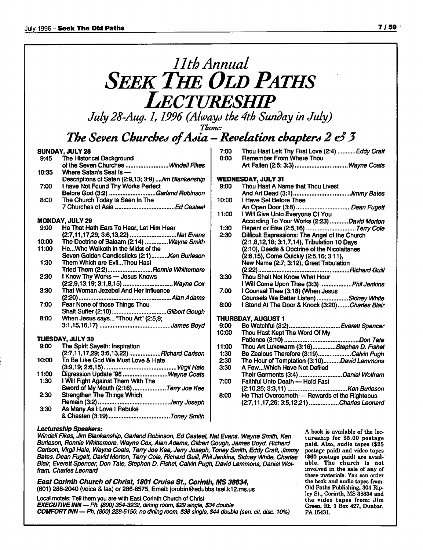## **11th Annual SEEK THE OLD PATHS Lectureship**

**July28-Aug. 1,1996 (Always the 4th Sunday in July)**

**Theme:**

### *The Seven Churched ofAsia —Revelationchapter\*\* 2* **e3***3*

#### *SUNDAY, JULY 28*

| 9:45  | The Historical Background                            |
|-------|------------------------------------------------------|
|       | of the Seven Churches Windell Fikes                  |
| 10:35 | Where Satan's Seat Is -                              |
|       | Descriptions of Satan (2:9,13; 3:9)  Jim Blankenship |
| 7:00  | I have Not Found Thy Works Perfect                   |
|       | Before God (3:2) Garland Robinson                    |
| 8:00  | The Church Today Is Seen In The                      |
|       |                                                      |
|       |                                                      |
|       |                                                      |

#### *MONDAY, JULY 29*

| 9:00  | He That Hath Ears To Hear, Let Him Hear     |
|-------|---------------------------------------------|
|       | (2:7,11,17,29; 3:6,13,22) Nat Evans         |
| 10:00 | The Doctrine of Balaam (2:14)  Wayne Smith  |
| 11:00 | HeWho Walketh in the Midst of the           |
|       | Seven Golden Candlesticks (2:1)Ken Burleson |
| 1:30  | Them Which are EvilThou Hast                |
|       | Tried Them (2:2)Ronnie Whittemore           |
| 2:30  | I Know Thy Works - Jesus Knows              |
|       | (2:2,9,13,19; 3:1,8,15)  Wayne Cox          |
| 3:30  | That Woman Jezebel And Her Influence        |
|       |                                             |
| 7:00  | Fear None of those Things Thou              |
|       |                                             |
| 8:00  | When Jesus says "Thou Art" (2:5,9;          |
|       |                                             |
|       | TUESDAY, JULY 30                            |
| 9:00  | The Spirit Sayeth: Inspiration              |
|       | (2:7,11,17,29; 3:6,13,22)  Richard Carlson  |
| 10:00 | To Be Like God We Must Love & Hate          |
|       |                                             |
| 11:00 | Digression Update '96  Wayne Coats          |
|       |                                             |

1:30 IWill Fight Against Them With The Sword of My Mouth (2:16) ....................Terry Joe Kee 2:30 Strengthen The Things Which Remain (3:2) **JerryJoseph** 3:30 As Many As I Love I Rebuke

&Chasten (3:19) **ToneySmith**

|       | <b>WEDNESDAY, JULY 31</b>                                                             |
|-------|---------------------------------------------------------------------------------------|
| 9:00  | Thou Hast A Name that Thou Livest                                                     |
|       | And Art Dead (3:1)Jimmy Bates                                                         |
| 10:00 | I Have Set Before Thee                                                                |
|       | An Open Door (3:8) Dean Fugett                                                        |
| 11:00 | I Will Give Unto Everyone Of You                                                      |
|       | According To Your Works (2:23) David Morton                                           |
| 1:30  |                                                                                       |
| 2:30  | Repent or Else (2:5,16)  Terry Cole<br>Difficult Expressions: The Angel of the Church |
|       | (2:1,8,12,18; 3:1,7,14), Tribulation 10 Days                                          |
|       | (2:10), Deeds & Doctrine of the Nicolaitanes                                          |
|       | (2:6,15), Come Quickly (2:5,16; 3:11),                                                |
|       | New Name (2:7; 3:12), Great Tribulation                                               |
|       |                                                                                       |
| 3:30  | Thou Shalt Not Know What Hour                                                         |
|       | I Will Come Upon Thee (3:3) Phil Jenkins                                              |
| 7:00  | I Counsel Thee (3:18) (When Jesus                                                     |
|       | Counsels We Better Listen) Sidney White                                               |
| 8:00  | I Stand At The Door & Knock (3:20)Charles Blair                                       |
|       |                                                                                       |
|       | THURSDAY, AUGUST 1                                                                    |
| 9:00  | Be Watchful (3:2)Everett Spencer                                                      |
| 10:00 | Thou Hast Kept The Word Of My                                                         |
|       |                                                                                       |
| 11:00 | Thou Art Lukewarm (3:16)Stephen D. Fishel                                             |
| 1:30  | Be Zealous Therefore (3:19)Calvin Pugh                                                |
| 2:30  | The Hour of Temptation (3:10)David Lemmons                                            |
| 3:30  | A FewWhich Have Not Defiled                                                           |
|       | Their Garments (3:4) Daniel Wolfram                                                   |
| 7:00  | Faithful Unto Death - Hold Fast                                                       |
|       |                                                                                       |

7:00 Thou Hast Left Thy First Love (2:4) *...........Eddy Craft*<br>8:00 Remember From Where Thou

Art Fallen (2:5; 3:3) ................................Wayne Coats

Remember From Where Thou

#### 8:00 He That Overcometh — Rewards of the Righteous (2:7,11,17,26; 3:5,12,21) **Charles Leonard**

#### *Lectureship Speakers:*

**Windell Flkes,JimBlankenship, Garland Robinson, Ed Casteel, NatEvans, Wayne Smith, Ken Burleson, Ronnie Whittemore, Wayne Cox, Alan Adams, Gilbert Gough, James Boyd, Richard Carlson, Virgil Hale, Wayne Coats, TenyJoe Kee, Jerry Joseph, ToneySmith, EddyCraft, Jimmy Bates, Dean Fugett, DavidMorton, Teny Cole, Richard Guill, PhilJenkins, Sidney White, Charles Blair, Everett Spencer, Don Tate, Stephen D. Fishel, Calvin Pugh,DavidLemmons, DanielWol fram, Charles Leonard**

*East Corinth Church of Christ, 1801 Cruise St., Corinth, MS 38834,* (601) 286-2040 (voice &fax) or 286-6575, Email:jorobin@edubbs.tsei.k12.ms.us

Local motels: Tell them you are with East Corinth Church of Christ *EXECUTIVEINN—Ph.* **(800) 354-3932, diningroom, \$29 single, \$34 double** *COMFORTINN—Ph.* **(800)228-5150, no diningroom, \$38 single, \$44 double (sen.** eft.**disc. 10%)** *<sup>A</sup> book is available of the lec tureship for \$5.00 postage paid. Also, audio tapes (\$25 postage paid) and video tapes (\$60 postage paid) are avail able. The church is not involved in the sale of any of these materials. You can order the book and audio tapes from: Old Paths Publishing, 304 Rip ley St., Corinth, MS 38834 and the video tapes from: Jim Green, Rt. 1 Box 427, Dunbar, PA 15431.*